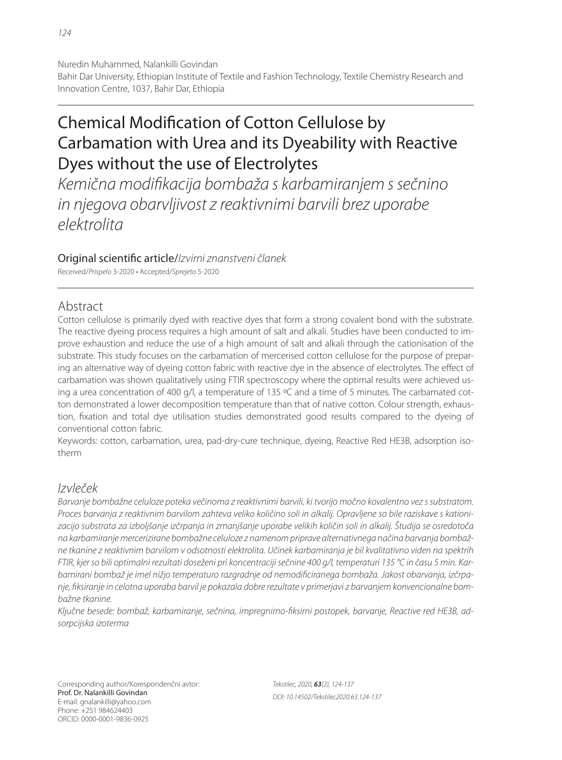Bahir Dar University, Ethiopian Institute of Textile and Fashion Technology, Textile Chemistry Research and Innovation Centre, 1037, Bahir Dar, Ethiopia

# Chemical Modification of Cotton Cellulose by Carbamation with Urea and its Dyeability with Reactive Dyes without the use of Electrolytes

Kemična modifikacija bombaža s karbamiranjem s sečnino in njegova obarvljivost z reaktivnimi barvili brez uporabe elektrolita

## Original scientific article/Izvirni znanstveni članek

Received/Prispelo 3-2020 • Accepted/Sprejeto 5-2020

# Abstract

Cotton cellulose is primarily dyed with reactive dyes that form a strong covalent bond with the substrate. The reactive dyeing process requires a high amount of salt and alkali. Studies have been conducted to improve exhaustion and reduce the use of a high amount of salt and alkali through the cationisation of the substrate. This study focuses on the carbamation of mercerised cotton cellulose for the purpose of preparing an alternative way of dyeing cotton fabric with reactive dye in the absence of electrolytes. The effect of carbamation was shown qualitatively using FTIR spectroscopy where the optimal results were achieved using a urea concentration of 400 g/l, a temperature of 135 °C and a time of 5 minutes. The carbamated cotton demonstrated a lower decomposition temperature than that of native cotton. Colour strength, exhaustion, fixation and total dye utilisation studies demonstrated good results compared to the dyeing of conventional cotton fabric.

Keywords: cotton, carbamation, urea, pad-dry-cure technique, dyeing, Reactive Red HE3B, adsorption isotherm

# Izvleček

Barvanje bombažne celuloze poteka večinoma z reaktivnimi barvili, ki tvorijo močno kovalentno vez s substratom. Proces barvanja z reaktivnim barvilom zahteva veliko količino soli in alkalij. Opravljene so bile raziskave s kationizacijo substrata za izboljšanje izčrpanja in zmanjšanje uporabe velikih količin soli in alkalij. Študija se osredotoča na karbamiranje mercerizirane bombažne celuloze z namenom priprave alternativnega načina barvanja bombažne tkanine z reaktivnim barvilom v odsotnosti elektrolita. Učinek karbamiranja je bil kvalitativno viden na spektrih FTIR, kjer so bili optimalni rezultati doseženi pri koncentraciji sečnine 400 g/l, temperaturi 135 °C in času 5 min. Karbamirani bombaž je imel nižjo temperaturo razgradnje od nemodificiranega bombaža. Jakost obarvanja, izčrpanje, fi ksiranje in celotna uporaba barvil je pokazala dobre rezultate v primerjavi z barvanjem konvencionalne bombažne tkanine.

Ključne besede: bombaž, karbamiranje, sečnina, impregnirno-fiksirni postopek, barvanje, Reactive red HE3B, adsorpcijska izoterma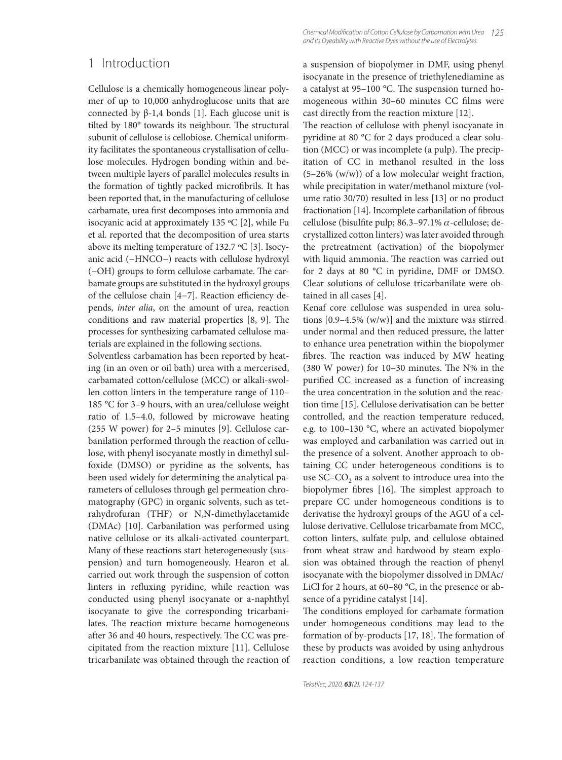Cellulose is a chemically homogeneous linear polymer of up to 10,000 anhydroglucose units that are connected by β-1,4 bonds [1]. Each glucose unit is tilted by 180° towards its neighbour. The structural subunit of cellulose is cellobiose. Chemical uniformity facilitates the spontaneous crystallisation of cellulose molecules. Hydrogen bonding within and between multiple layers of parallel molecules results in the formation of tightly packed microfibrils. It has been reported that, in the manufacturing of cellulose carbamate, urea first decomposes into ammonia and isocyanic acid at approximately 135 ºC [2], while Fu et al. reported that the decomposition of urea starts above its melting temperature of 132.7 ºC [3]. Isocyanic acid (−HNCO−) reacts with cellulose hydroxyl (−OH) groups to form cellulose carbamate. The carbamate groups are substituted in the hydroxyl groups of the cellulose chain [4−7]. Reaction efficiency depends, *inter alia*, on the amount of urea, reaction conditions and raw material properties  $[8, 9]$ . The processes for synthesizing carbamated cellulose materials are explained in the following sections.

Solventless carbamation has been reported by heating (in an oven or oil bath) urea with a mercerised, carbamated cotton/cellulose (MCC) or alkali-swollen cotton linters in the temperature range of 110– 185 °C for 3–9 hours, with an urea/cellulose weight ratio of 1.5–4.0, followed by microwave heating (255 W power) for 2–5 minutes [9]. Cellulose carbanilation performed through the reaction of cellulose, with phenyl isocyanate mostly in dimethyl sulfoxide (DMSO) or pyridine as the solvents, has been used widely for determining the analytical parameters of celluloses through gel permeation chromatography (GPC) in organic solvents, such as tetrahydrofuran (THF) or N,N-dimethylacetamide (DMAc) [10]. Carbanilation was performed using native cellulose or its alkali-activated counterpart. Many of these reactions start heterogeneously (suspension) and turn homogeneously. Hearon et al. carried out work through the suspension of cotton linters in refluxing pyridine, while reaction was conducted using phenyl isocyanate or a-naphthyl isocyanate to give the corresponding tricarbanilates. The reaction mixture became homogeneous after 36 and 40 hours, respectively. The CC was precipitated from the reaction mixture [11]. Cellulose tricarbanilate was obtained through the reaction of a suspension of biopolymer in DMF, using phenyl isocyanate in the presence of triethylenediamine as a catalyst at 95-100 °C. The suspension turned homogeneous within 30-60 minutes CC films were cast directly from the reaction mixture [12].

The reaction of cellulose with phenyl isocyanate in pyridine at 80 °C for 2 days produced a clear solution (MCC) or was incomplete (a pulp). The precipitation of CC in methanol resulted in the loss (5–26% (w/w)) of a low molecular weight fraction, while precipitation in water/methanol mixture (volume ratio 30/70) resulted in less [13] or no product fractionation [14]. Incomplete carbanilation of fibrous cellulose (bisulfite pulp; 86.3–97.1%  $\alpha$ -cellulose; decrystallized cotton linters) was later avoided through the pretreatment (activation) of the biopolymer with liquid ammonia. The reaction was carried out for 2 days at 80 °C in pyridine, DMF or DMSO. Clear solutions of cellulose tricarbanilate were obtained in all cases [4].

Kenaf core cellulose was suspended in urea solutions [0.9–4.5% (w/w)] and the mixture was stirred under normal and then reduced pressure, the latter to enhance urea penetration within the biopolymer fibres. The reaction was induced by MW heating (380 W power) for  $10-30$  minutes. The N% in the purified CC increased as a function of increasing the urea concentration in the solution and the reaction time [15]. Cellulose derivatisation can be better controlled, and the reaction temperature reduced, e.g. to 100–130 °C, where an activated biopolymer was employed and carbanilation was carried out in the presence of a solvent. Another approach to obtaining CC under heterogeneous conditions is to use SC–CO<sub>2</sub> as a solvent to introduce urea into the biopolymer fibres [16]. The simplest approach to prepare CC under homogeneous conditions is to derivatise the hydroxyl groups of the AGU of a cellulose derivative. Cellulose tricarbamate from MCC, cotton linters, sulfate pulp, and cellulose obtained from wheat straw and hardwood by steam explosion was obtained through the reaction of phenyl isocyanate with the biopolymer dissolved in DMAc/ LiCl for 2 hours, at 60–80 °C, in the presence or absence of a pyridine catalyst [14].

The conditions employed for carbamate formation under homogeneous conditions may lead to the formation of by-products [17, 18]. The formation of these by products was avoided by using anhydrous reaction conditions, a low reaction temperature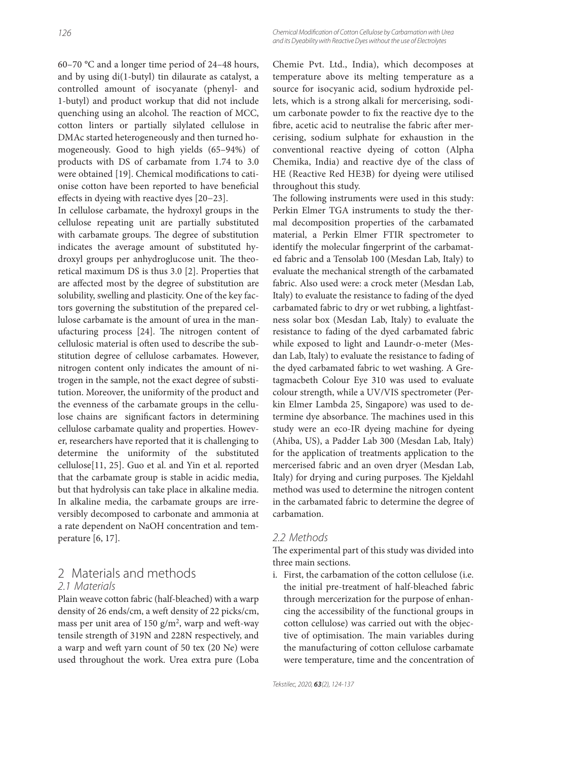60–70 °C and a longer time period of 24–48 hours, and by using di(1-butyl) tin dilaurate as catalyst, a controlled amount of isocyanate (phenyl- and 1-butyl) and product workup that did not include quenching using an alcohol. The reaction of MCC, cotton linters or partially silylated cellulose in DMAc started heterogeneously and then turned homogeneously. Good to high yields (65–94%) of products with DS of carbamate from 1.74 to 3.0 were obtained [19]. Chemical modifications to cationise cotton have been reported to have beneficial effects in dyeing with reactive dyes [20−23].

In cellulose carbamate, the hydroxyl groups in the cellulose repeating unit are partially substituted with carbamate groups. The degree of substitution indicates the average amount of substituted hydroxyl groups per anhydroglucose unit. The theoretical maximum DS is thus 3.0 [2]. Properties that are affected most by the degree of substitution are solubility, swelling and plasticity. One of the key factors governing the substitution of the prepared cellulose carbamate is the amount of urea in the manufacturing process [24]. The nitrogen content of cellulosic material is often used to describe the substitution degree of cellulose carbamates. However, nitrogen content only indicates the amount of nitrogen in the sample, not the exact degree of substitution. Moreover, the uniformity of the product and the evenness of the carbamate groups in the cellulose chains are significant factors in determining cellulose carbamate quality and properties. However, researchers have reported that it is challenging to determine the uniformity of the substituted cellulose[11, 25]. Guo et al. and Yin et al. reported that the carbamate group is stable in acidic media, but that hydrolysis can take place in alkaline media. In alkaline media, the carbamate groups are irreversibly decomposed to carbonate and ammonia at a rate dependent on NaOH concentration and temperature [6, 17].

## 2 Materials and methods 2.1 Materials

Plain weave cotton fabric (half-bleached) with a warp density of 26 ends/cm, a weft density of 22 picks/cm, mass per unit area of 150  $g/m^2$ , warp and weft-way tensile strength of 319N and 228N respectively, and a warp and weft yarn count of 50 tex (20 Ne) were used throughout the work. Urea extra pure (Loba Chemie Pvt. Ltd., India), which decomposes at temperature above its melting temperature as a source for isocyanic acid, sodium hydroxide pellets, which is a strong alkali for mercerising, sodium carbonate powder to fix the reactive dye to the fibre, acetic acid to neutralise the fabric after mercerising, sodium sulphate for exhaustion in the conventional reactive dyeing of cotton (Alpha Chemika, India) and reactive dye of the class of HE (Reactive Red HE3B) for dyeing were utilised throughout this study.

The following instruments were used in this study: Perkin Elmer TGA instruments to study the thermal decomposition properties of the carbamated material, a Perkin Elmer FTIR spectrometer to identify the molecular fingerprint of the carbamated fabric and a Tensolab 100 (Mesdan Lab, Italy) to evaluate the mechanical strength of the carbamated fabric. Also used were: a crock meter (Mesdan Lab, Italy) to evaluate the resistance to fading of the dyed carbamated fabric to dry or wet rubbing, a lightfastness solar box (Mesdan Lab, Italy) to evaluate the resistance to fading of the dyed carbamated fabric while exposed to light and Laundr-o-meter (Mesdan Lab, Italy) to evaluate the resistance to fading of the dyed carbamated fabric to wet washing. A Gretagmacbeth Colour Eye 310 was used to evaluate colour strength, while a UV/VIS spectrometer (Perkin Elmer Lambda 25, Singapore) was used to determine dye absorbance. The machines used in this study were an eco-IR dyeing machine for dyeing (Ahiba, US), a Padder Lab 300 (Mesdan Lab, Italy) for the application of treatments application to the mercerised fabric and an oven dryer (Mesdan Lab, Italy) for drying and curing purposes. The Kjeldahl method was used to determine the nitrogen content in the carbamated fabric to determine the degree of carbamation.

## 2.2 Methods

The experimental part of this study was divided into three main sections.

i. First, the carbamation of the cotton cellulose (i.e. the initial pre-treatment of half-bleached fabric through mercerization for the purpose of enhancing the accessibility of the functional groups in cotton cellulose) was carried out with the objective of optimisation. The main variables during the manufacturing of cotton cellulose carbamate were temperature, time and the concentration of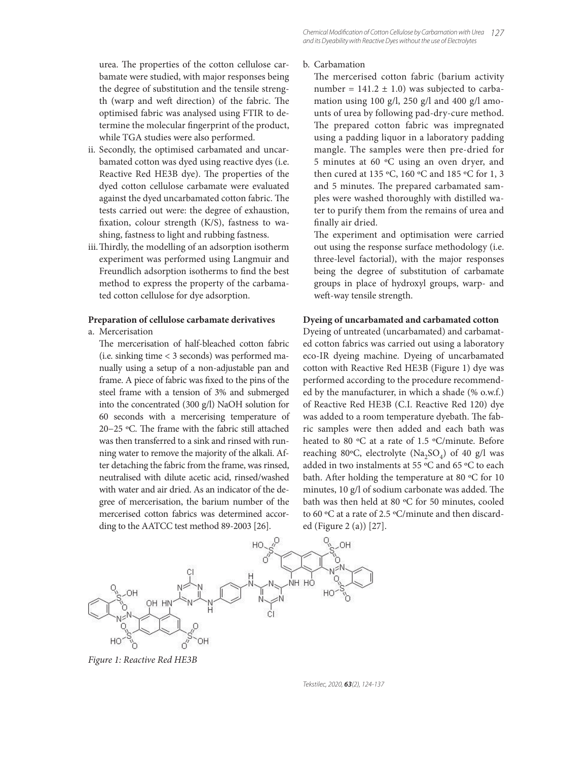## urea. The properties of the cotton cellulose carbamate were studied, with major responses being the degree of substitution and the tensile strength (warp and weft direction) of the fabric. The optimised fabric was analysed using FTIR to determine the molecular fingerprint of the product, while TGA studies were also performed.

- ii. Secondly, the optimised carbamated and uncarbamated cotton was dyed using reactive dyes (i.e. Reactive Red HE3B dye). The properties of the dyed cotton cellulose carbamate were evaluated against the dyed uncarbamated cotton fabric. The tests carried out were: the degree of exhaustion, fixation, colour strength  $(K/S)$ , fastness to washing, fastness to light and rubbing fastness.
- iii. Thirdly, the modelling of an adsorption isotherm experiment was performed using Langmuir and Freundlich adsorption isotherms to find the best method to express the property of the carbamated cotton cellulose for dye adsorption.

#### **Preparation of cellulose carbamate derivatives**

a. Mercerisation

The mercerisation of half-bleached cotton fabric (i.e. sinking time < 3 seconds) was performed manually using a setup of a non-adjustable pan and frame. A piece of fabric was fixed to the pins of the steel frame with a tension of 3% and submerged into the concentrated (300 g/l) NaOH solution for 60 seconds with a mercerising temperature of 20−25 °C. The frame with the fabric still attached was then transferred to a sink and rinsed with running water to remove the majority of the alkali. After detaching the fabric from the frame, was rinsed, neutralised with dilute acetic acid, rinsed/washed with water and air dried. As an indicator of the degree of mercerisation, the barium number of the mercerised cotton fabrics was determined according to the AATCC test method 89-2003 [26].



The mercerised cotton fabric (barium activity number =  $141.2 \pm 1.0$ ) was subjected to carbamation using 100 g/l, 250 g/l and 400 g/l amounts of urea by following pad-dry-cure method. The prepared cotton fabric was impregnated using a padding liquor in a laboratory padding mangle. The samples were then pre-dried for 5 minutes at 60 ºC using an oven dryer, and then cured at 135 ºC, 160 ºC and 185 ºC for 1, 3 and 5 minutes. The prepared carbamated samples were washed thoroughly with distilled water to purify them from the remains of urea and finally air dried.

The experiment and optimisation were carried out using the response surface methodology (i.e. three-level factorial), with the major responses being the degree of substitution of carbamate groups in place of hydroxyl groups, warp- and weft-way tensile strength.

#### **Dyeing of uncarbamated and carbamated cotton**

Dyeing of untreated (uncarbamated) and carbamated cotton fabrics was carried out using a laboratory eco-IR dyeing machine. Dyeing of uncarbamated cotton with Reactive Red HE3B (Figure 1) dye was performed according to the procedure recommended by the manufacturer, in which a shade (% o.w.f.) of Reactive Red HE3B (C.I. Reactive Red 120) dye was added to a room temperature dyebath. The fabric samples were then added and each bath was heated to 80 ºC at a rate of 1.5 ºC/minute. Before reaching 80°C, electrolyte (Na<sub>2</sub>SO<sub>4</sub>) of 40 g/l was added in two instalments at 55 ºC and 65 ºC to each bath. After holding the temperature at 80 °C for 10 minutes, 10 g/l of sodium carbonate was added. The bath was then held at 80 ºC for 50 minutes, cooled to 60 ºC at a rate of 2.5 ºC/minute and then discarded (Figure 2 (a)) [27].



*Figure 1: Reactive Red HE3B*

Tekstilec, 2020, *63*(2), 124-137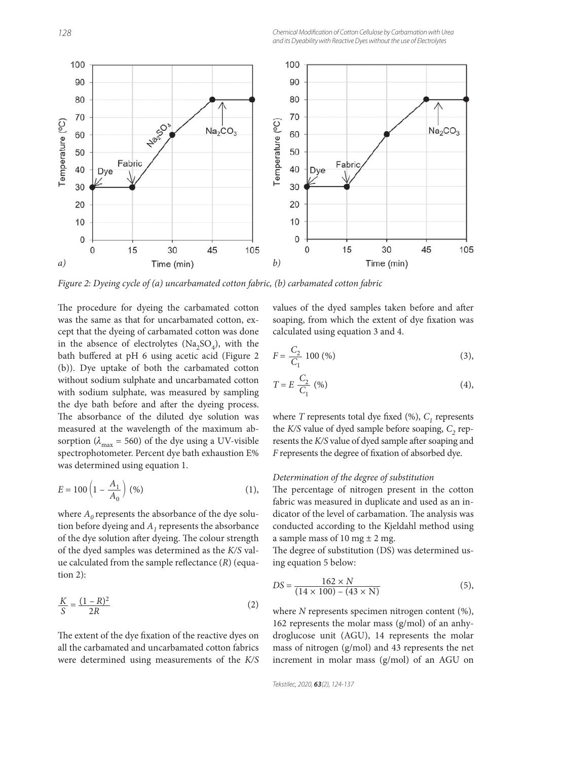

*Figure 2: Dyeing cycle of (a) uncarbamated cotton fabric, (b) carbamated cotton fabric*

The procedure for dyeing the carbamated cotton was the same as that for uncarbamated cotton, except that the dyeing of carbamated cotton was done in the absence of electrolytes ( $Na<sub>2</sub>SO<sub>4</sub>$ ), with the bath buffered at pH 6 using acetic acid (Figure 2 (b)). Dye uptake of both the carbamated cotton without sodium sulphate and uncarbamated cotton with sodium sulphate, was measured by sampling the dye bath before and after the dyeing process. The absorbance of the diluted dye solution was measured at the wavelength of the maximum absorption ( $\lambda_{\text{max}}$  = 560) of the dye using a UV-visible spectrophotometer. Percent dye bath exhaustion E% was determined using equation 1.

$$
E = 100 \left( 1 - \frac{A_1}{A_0} \right) (%) \tag{1}
$$

where  $A_0$  represents the absorbance of the dye solution before dyeing and  $A<sub>1</sub>$  represents the absorbance of the dye solution after dyeing. The colour strength of the dyed samples was determined as the *K/S* value calculated from the sample reflectance (R) (equation 2):

$$
\frac{K}{S} = \frac{(1 - R)^2}{2R} \tag{2}
$$

The extent of the dye fixation of the reactive dyes on all the carbamated and uncarbamated cotton fabrics were determined using measurements of the *K/S* values of the dyed samples taken before and after soaping, from which the extent of dye fixation was calculated using equation 3 and 4.

$$
F = \frac{C_2}{C_1} 100\,(96)
$$
 (3),

$$
T = E \frac{C_2}{C_1} \tag{4},
$$

where *T* represents total dye fixed  $(\%)$ ,  $C_1$  represents the  $K/S$  value of dyed sample before soaping,  $C<sub>2</sub>$  represents the K/S value of dyed sample after soaping and *F* represents the degree of fixation of absorbed dye.

#### *Determination of the degree of substitution*

The percentage of nitrogen present in the cotton fabric was measured in duplicate and used as an indicator of the level of carbamation. The analysis was conducted according to the Kjeldahl method using a sample mass of 10 mg  $\pm$  2 mg.

The degree of substitution (DS) was determined using equation 5 below:

$$
DS = \frac{162 \times N}{(14 \times 100) - (43 \times N)}
$$
(5),

where *N* represents specimen nitrogen content (%), 162 represents the molar mass (g/mol) of an anhydroglucose unit (AGU), 14 represents the molar mass of nitrogen (g/mol) and 43 represents the net increment in molar mass (g/mol) of an AGU on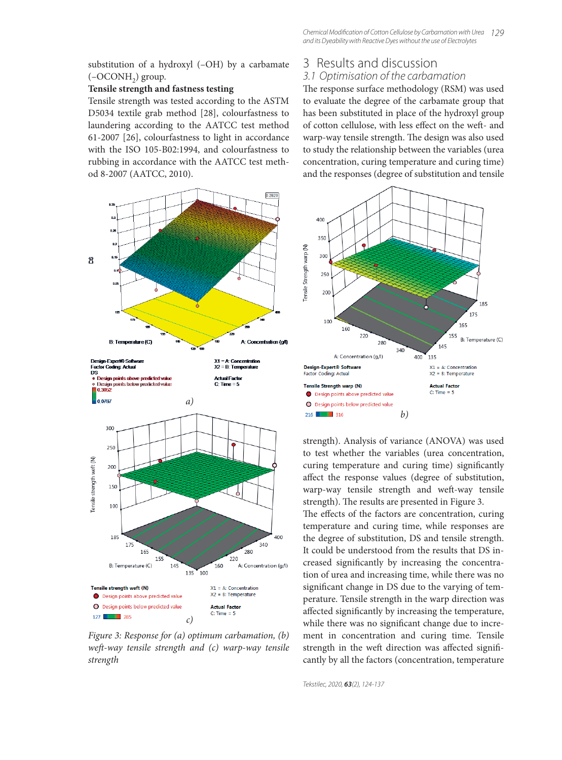substitution of a hydroxyl (–OH) by a carbamate  $(-OCONH<sub>2</sub>)$  group.

#### **Tensile strength and fastness testing**

Tensile strength was tested according to the ASTM D5034 textile grab method [28], colourfastness to laundering according to the AATCC test method 61-2007 [26], colourfastness to light in accordance with the ISO 105-B02:1994, and colourfastness to rubbing in accordance with the AATCC test method 8-2007 (AATCC, 2010).



*Figure 3: Response for (a) optimum carbamation, (b) weft -way tensile strength and (c) warp-way tensile strength*

## 3 Results and discussion

## 3.1 Optimisation of the carbamation

The response surface methodology (RSM) was used to evaluate the degree of the carbamate group that has been substituted in place of the hydroxyl group of cotton cellulose, with less effect on the weft- and warp-way tensile strength. The design was also used to study the relationship between the variables (urea concentration, curing temperature and curing time) and the responses (degree of substitution and tensile



strength). Analysis of variance (ANOVA) was used to test whether the variables (urea concentration, curing temperature and curing time) significantly affect the response values (degree of substitution, warp-way tensile strength and weft-way tensile strength). The results are presented in Figure 3.

The effects of the factors are concentration, curing temperature and curing time, while responses are the degree of substitution, DS and tensile strength. It could be understood from the results that DS increased significantly by increasing the concentration of urea and increasing time, while there was no significant change in DS due to the varying of temperature. Tensile strength in the warp direction was affected significantly by increasing the temperature, while there was no significant change due to increment in concentration and curing time. Tensile strength in the weft direction was affected significantly by all the factors (concentration, temperature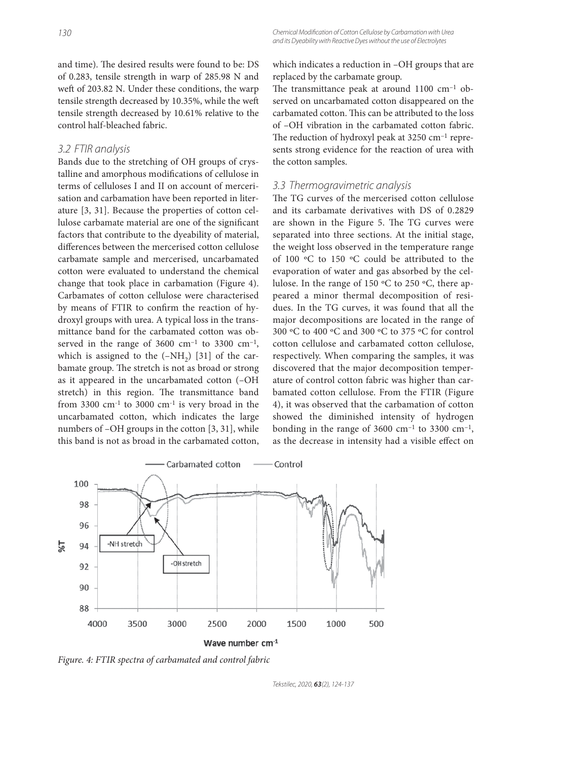and time). The desired results were found to be: DS of 0.283, tensile strength in warp of 285.98 N and weft of 203.82 N. Under these conditions, the warp tensile strength decreased by 10.35%, while the weft tensile strength decreased by 10.61% relative to the control half-bleached fabric.

## 3.2 FTIR analysis

Bands due to the stretching of OH groups of crystalline and amorphous modifications of cellulose in terms of celluloses I and II on account of mercerisation and carbamation have been reported in literature [3, 31]. Because the properties of cotton cellulose carbamate material are one of the significant factors that contribute to the dyeability of material, differences between the mercerised cotton cellulose carbamate sample and mercerised, uncarbamated cotton were evaluated to understand the chemical change that took place in carbamation (Figure 4). Carbamates of cotton cellulose were characterised by means of FTIR to confirm the reaction of hydroxyl groups with urea. A typical loss in the transmittance band for the carbamated cotton was observed in the range of  $3600 \text{ cm}^{-1}$  to  $3300 \text{ cm}^{-1}$ , which is assigned to the  $(-NH<sub>2</sub>)$  [31] of the carbamate group. The stretch is not as broad or strong as it appeared in the uncarbamated cotton (–OH stretch) in this region. The transmittance band from 3300  $cm^{-1}$  to 3000  $cm^{-1}$  is very broad in the uncarbamated cotton, which indicates the large numbers of –OH groups in the cotton [3, 31], while this band is not as broad in the carbamated cotton,

which indicates a reduction in –OH groups that are replaced by the carbamate group.

The transmittance peak at around  $1100 \text{ cm}^{-1}$  observed on uncarbamated cotton disappeared on the carbamated cotton. This can be attributed to the loss of –OH vibration in the carbamated cotton fabric. The reduction of hydroxyl peak at  $3250 \text{ cm}^{-1}$  represents strong evidence for the reaction of urea with the cotton samples.

## 3.3 Thermogravimetric analysis

The TG curves of the mercerised cotton cellulose and its carbamate derivatives with DS of 0.2829 are shown in the Figure 5. The TG curves were separated into three sections. At the initial stage, the weight loss observed in the temperature range of 100 ºC to 150 ºC could be attributed to the evaporation of water and gas absorbed by the cellulose. In the range of 150 ºC to 250 ºC, there appeared a minor thermal decomposition of residues. In the TG curves, it was found that all the major decompositions are located in the range of 300 ºC to 400 ºC and 300 ºC to 375 ºC for control cotton cellulose and carbamated cotton cellulose, respectively. When comparing the samples, it was discovered that the major decomposition temperature of control cotton fabric was higher than carbamated cotton cellulose. From the FTIR (Figure 4), it was observed that the carbamation of cotton showed the diminished intensity of hydrogen bonding in the range of  $3600 \text{ cm}^{-1}$  to  $3300 \text{ cm}^{-1}$ , as the decrease in intensity had a visible effect on



*Figure. 4: FTIR spectra of carbamated and control fabric*

Tekstilec, 2020, *63*(2), 124-137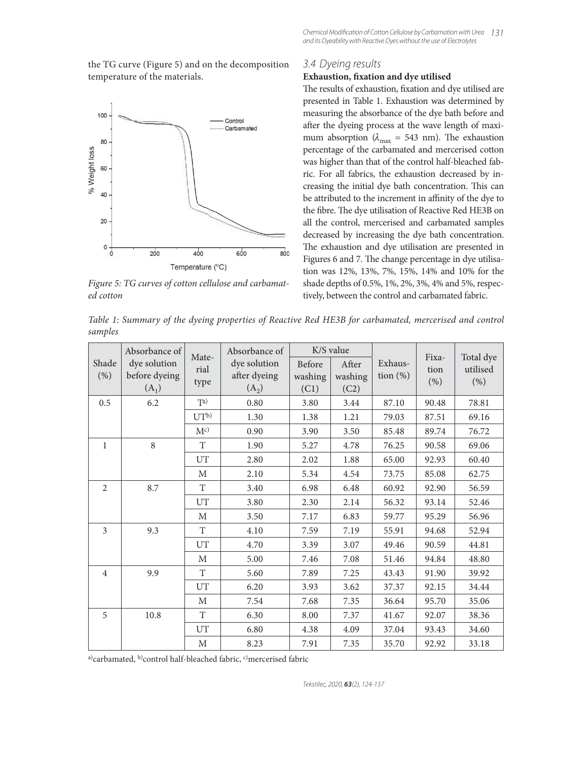the TG curve (Figure 5) and on the decomposition temperature of the materials.



*Figure 5: TG curves of cotton cellulose and carbamated cotton*

## 3.4 Dyeing results

## **Exhaustion, fixation and dye utilised**

The results of exhaustion, fixation and dye utilised are presented in Table 1. Exhaustion was determined by measuring the absorbance of the dye bath before and after the dyeing process at the wave length of maximum absorption ( $\lambda_{\text{max}}$  = 543 nm). The exhaustion percentage of the carbamated and mercerised cotton was higher than that of the control half-bleached fabric. For all fabrics, the exhaustion decreased by increasing the initial dye bath concentration. This can be attributed to the increment in affinity of the dye to the fibre. The dye utilisation of Reactive Red HE3B on all the control, mercerised and carbamated samples decreased by increasing the dye bath concentration. The exhaustion and dye utilisation are presented in Figures 6 and 7. The change percentage in dye utilisation was 12%, 13%, 7%, 15%, 14% and 10% for the shade depths of 0.5%, 1%, 2%, 3%, 4% and 5%, respectively, between the control and carbamated fabric.

*Table 1: Summary of the dyeing properties of Reactive Red HE3B for carbamated, mercerised and control samples*

|                | Absorbance of                            | Mate-       | Absorbance of                           | K/S value                        |                          | Exhaus-<br>tion $(\%)$ | Fixa-<br>tion<br>(% ) | Total dye<br>utilised<br>(% ) |
|----------------|------------------------------------------|-------------|-----------------------------------------|----------------------------------|--------------------------|------------------------|-----------------------|-------------------------------|
| Shade<br>(% )  | dye solution<br>before dyeing<br>$(A_1)$ |             | dye solution<br>after dyeing<br>$(A_2)$ | <b>Before</b><br>washing<br>(C1) | After<br>washing<br>(C2) |                        |                       |                               |
| 0.5            | 6.2                                      | Ta)         | 0.80                                    | 3.80                             | 3.44                     | 87.10                  | 90.48                 | 78.81                         |
|                |                                          | $UT^b$      | 1.30                                    | 1.38                             | 1.21                     | 79.03                  | 87.51                 | 69.16                         |
|                |                                          | $M^{c}$     | 0.90                                    | 3.90                             | 3.50                     | 85.48                  | 89.74                 | 76.72                         |
| 1              | 8                                        | T           | 1.90                                    | 5.27                             | 4.78                     | 76.25                  | 90.58                 | 69.06                         |
|                |                                          | UT          | 2.80                                    | 2.02                             | 1.88                     | 65.00                  | 92.93                 | 60.40                         |
|                |                                          | M           | 2.10                                    | 5.34                             | 4.54                     | 73.75                  | 85.08                 | 62.75                         |
| $\overline{2}$ | 8.7                                      | T           | 3.40                                    | 6.98                             | 6.48                     | 60.92                  | 92.90                 | 56.59                         |
|                |                                          | UT          | 3.80                                    | 2.30                             | 2.14                     | 56.32                  | 93.14                 | 52.46                         |
|                |                                          | М           | 3.50                                    | 7.17                             | 6.83                     | 59.77                  | 95.29                 | 56.96                         |
| 3              | 9.3                                      | T           | 4.10                                    | 7.59                             | 7.19                     | 55.91                  | 94.68                 | 52.94                         |
|                |                                          | UT          | 4.70                                    | 3.39                             | 3.07                     | 49.46                  | 90.59                 | 44.81                         |
|                |                                          | M           | 5.00                                    | 7.46                             | 7.08                     | 51.46                  | 94.84                 | 48.80                         |
| $\overline{4}$ | 9.9                                      | T           | 5.60                                    | 7.89                             | 7.25                     | 43.43                  | 91.90                 | 39.92                         |
|                |                                          | UT          | 6.20                                    | 3.93                             | 3.62                     | 37.37                  | 92.15                 | 34.44                         |
|                |                                          | M           | 7.54                                    | 7.68                             | 7.35                     | 36.64                  | 95.70                 | 35.06                         |
| 5              | 10.8                                     | T           | 6.30                                    | 8.00                             | 7.37                     | 41.67                  | 92.07                 | 38.36                         |
|                |                                          | UT          | 6.80                                    | 4.38                             | 4.09                     | 37.04                  | 93.43                 | 34.60                         |
|                |                                          | $\mathbf M$ | 8.23                                    | 7.91                             | 7.35                     | 35.70                  | 92.92                 | 33.18                         |

a)carbamated, b)control half-bleached fabric, c)mercerised fabric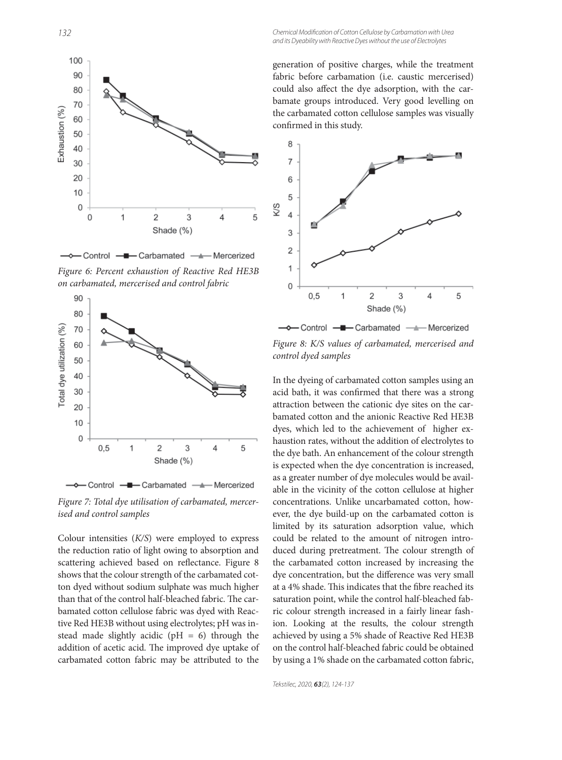

- Control - - Carbamated - Mercerized

*Figure 6: Percent exhaustion of Reactive Red HE3B on carbamated, mercerised and control fabric*



*Figure 7: Total dye utilisation of carbamated, mercerised and control samples*

Colour intensities (*K/S*) were employed to express the reduction ratio of light owing to absorption and scattering achieved based on reflectance. Figure 8 shows that the colour strength of the carbamated cotton dyed without sodium sulphate was much higher than that of the control half-bleached fabric. The carbamated cotton cellulose fabric was dyed with Reactive Red HE3B without using electrolytes; pH was instead made slightly acidic ( $pH = 6$ ) through the addition of acetic acid. The improved dye uptake of carbamated cotton fabric may be attributed to the generation of positive charges, while the treatment fabric before carbamation (i.e. caustic mercerised) could also affect the dye adsorption, with the carbamate groups introduced. Very good levelling on the carbamated cotton cellulose samples was visually confirmed in this study.



*Figure 8: K/S values of carbamated, mercerised and control dyed samples*

In the dyeing of carbamated cotton samples using an acid bath, it was confirmed that there was a strong attraction between the cationic dye sites on the carbamated cotton and the anionic Reactive Red HE3B dyes, which led to the achievement of higher exhaustion rates, without the addition of electrolytes to the dye bath. An enhancement of the colour strength is expected when the dye concentration is increased, as a greater number of dye molecules would be available in the vicinity of the cotton cellulose at higher concentrations. Unlike uncarbamated cotton, however, the dye build-up on the carbamated cotton is limited by its saturation adsorption value, which could be related to the amount of nitrogen introduced during pretreatment. The colour strength of the carbamated cotton increased by increasing the dye concentration, but the difference was very small at a 4% shade. This indicates that the fibre reached its saturation point, while the control half-bleached fabric colour strength increased in a fairly linear fashion. Looking at the results, the colour strength achieved by using a 5% shade of Reactive Red HE3B on the control half-bleached fabric could be obtained by using a 1% shade on the carbamated cotton fabric,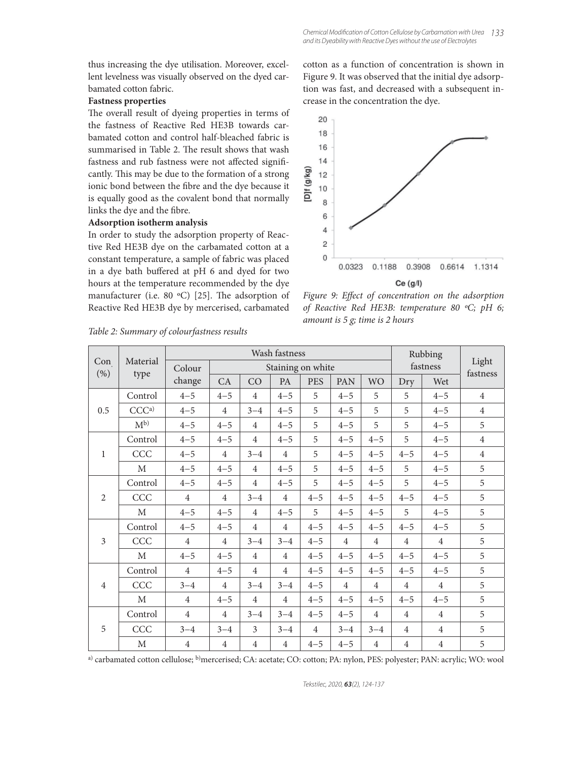thus increasing the dye utilisation. Moreover, excellent levelness was visually observed on the dyed carbamated cotton fabric.

## **Fastness properties**

The overall result of dyeing properties in terms of the fastness of Reactive Red HE3B towards carbamated cotton and control half-bleached fabric is summarised in Table 2. The result shows that wash fastness and rub fastness were not affected significantly. This may be due to the formation of a strong ionic bond between the fibre and the dye because it is equally good as the covalent bond that normally links the dye and the fibre.

#### **Adsorption isotherm analysis**

In order to study the adsorption property of Reactive Red HE3B dye on the carbamated cotton at a constant temperature, a sample of fabric was placed in a dye bath buffered at pH 6 and dyed for two hours at the temperature recommended by the dye manufacturer (i.e. 80  $°C$ ) [25]. The adsorption of Reactive Red HE3B dye by mercerised, carbamated cotton as a function of concentration is shown in Figure 9. It was observed that the initial dye adsorption was fast, and decreased with a subsequent increase in the concentration the dye.



Figure 9: Effect of concentration on the adsorption *of Reactive Red HE3B: temperature 80 ºC; pH 6; amount is 5 g; time is 2 hours*

|                |                  |                | Wash fastness     |                |                |                |                |                |                | Rubbing        | Light<br>fastness |
|----------------|------------------|----------------|-------------------|----------------|----------------|----------------|----------------|----------------|----------------|----------------|-------------------|
| Con<br>(% )    | Material<br>type | Colour         | Staining on white |                |                |                |                |                | fastness       |                |                   |
|                |                  | change         | CA                | CO             | PA             | <b>PES</b>     | PAN            | <b>WO</b>      | Dry            | Wet            |                   |
| 0.5            | Control          | $4 - 5$        | $4 - 5$           | $\overline{4}$ | $4 - 5$        | 5              | $4 - 5$        | 5              | 5              | $4 - 5$        | $\overline{4}$    |
|                | CCC <sup>a</sup> | $4 - 5$        | $\overline{4}$    | $3 - 4$        | $4 - 5$        | 5              | $4 - 5$        | 5              | 5              | $4 - 5$        | $\overline{4}$    |
|                | $M^{b}$          | $4 - 5$        | $4 - 5$           | $\overline{4}$ | $4 - 5$        | 5              | $4 - 5$        | 5              | 5              | $4 - 5$        | 5                 |
| 1              | Control          | $4 - 5$        | $4 - 5$           | 4              | $4 - 5$        | 5              | $4 - 5$        | $4 - 5$        | 5              | $4 - 5$        | $\overline{4}$    |
|                | CCC              | $4 - 5$        | $\overline{4}$    | $3 - 4$        | $\overline{4}$ | 5              | $4 - 5$        | $4 - 5$        | $4 - 5$        | $4 - 5$        | $\overline{4}$    |
|                | $\mathbf{M}$     | $4 - 5$        | $4 - 5$           | $\overline{4}$ | $4 - 5$        | 5              | $4 - 5$        | $4 - 5$        | 5              | $4 - 5$        | 5                 |
| 2              | Control          | $4 - 5$        | $4 - 5$           | $\overline{4}$ | $4 - 5$        | 5              | $4 - 5$        | $4 - 5$        | 5              | $4 - 5$        | 5                 |
|                | CCC              | $\overline{4}$ | $\overline{4}$    | $3 - 4$        | $\overline{4}$ | $4 - 5$        | $4 - 5$        | $4 - 5$        | $4 - 5$        | $4 - 5$        | 5                 |
|                | $\mathbf{M}$     | $4 - 5$        | $4 - 5$           | $\overline{4}$ | $4 - 5$        | 5              | $4 - 5$        | $4 - 5$        | 5              | $4 - 5$        | 5                 |
| 3              | Control          | $4 - 5$        | $4 - 5$           | $\overline{4}$ | $\overline{4}$ | $4 - 5$        | $4 - 5$        | $4 - 5$        | $4 - 5$        | $4 - 5$        | 5                 |
|                | CCC              | $\overline{4}$ | $\overline{4}$    | $3 - 4$        | $3 - 4$        | $4 - 5$        | $\overline{4}$ | $\overline{4}$ | $\overline{4}$ | $\overline{4}$ | 5                 |
|                | $\mathbf M$      | $4 - 5$        | $4 - 5$           | $\overline{4}$ | $\overline{4}$ | $4 - 5$        | $4 - 5$        | $4 - 5$        | $4 - 5$        | $4 - 5$        | 5                 |
| $\overline{4}$ | Control          | $\overline{4}$ | $4 - 5$           | $\overline{4}$ | $\overline{4}$ | $4 - 5$        | $4 - 5$        | $4 - 5$        | $4 - 5$        | $4 - 5$        | 5                 |
|                | CCC              | $3 - 4$        | $\overline{4}$    | $3 - 4$        | $3 - 4$        | $4 - 5$        | $\overline{4}$ | $\overline{4}$ | $\overline{4}$ | $\overline{4}$ | 5                 |
|                | $\mathbf M$      | $\overline{4}$ | $4 - 5$           | $\overline{4}$ | $\overline{4}$ | $4 - 5$        | $4 - 5$        | $4 - 5$        | $4 - 5$        | $4 - 5$        | 5                 |
| 5              | Control          | $\overline{4}$ | $\overline{4}$    | $3 - 4$        | $3 - 4$        | $4 - 5$        | $4 - 5$        | $\overline{4}$ | $\overline{4}$ | $\overline{4}$ | 5                 |
|                | CCC              | $3 - 4$        | $3 - 4$           | 3              | $3 - 4$        | $\overline{4}$ | $3 - 4$        | $3 - 4$        | $\overline{4}$ | $\overline{4}$ | 5                 |
|                | M                | $\overline{4}$ | $\overline{4}$    | $\overline{4}$ | $\overline{4}$ | $4 - 5$        | $4 - 5$        | $\overline{4}$ | $\overline{4}$ | $\overline{4}$ | 5                 |

*Table 2: Summary of colourfastness results*

a) carbamated cotton cellulose; <sup>b)</sup>mercerised; CA: acetate; CO: cotton; PA: nylon, PES: polyester; PAN: acrylic; WO: wool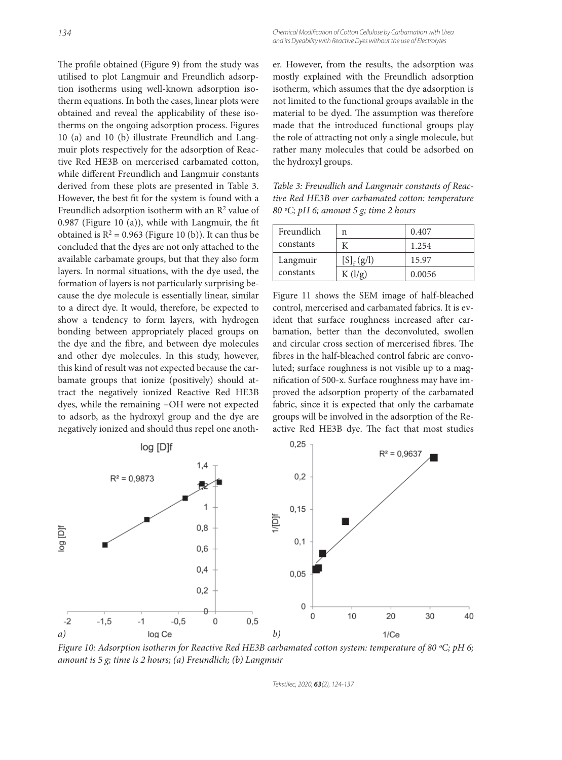The profile obtained (Figure 9) from the study was utilised to plot Langmuir and Freundlich adsorption isotherms using well-known adsorption isotherm equations. In both the cases, linear plots were obtained and reveal the applicability of these isotherms on the ongoing adsorption process. Figures 10 (a) and 10 (b) illustrate Freundlich and Langmuir plots respectively for the adsorption of Reactive Red HE3B on mercerised carbamated cotton, while different Freundlich and Langmuir constants derived from these plots are presented in Table 3. However, the best fit for the system is found with a Freundlich adsorption isotherm with an  $\mathbb{R}^2$  value of  $0.987$  (Figure 10 (a)), while with Langmuir, the fit obtained is  $R^2 = 0.963$  (Figure 10 (b)). It can thus be concluded that the dyes are not only attached to the available carbamate groups, but that they also form layers. In normal situations, with the dye used, the formation of layers is not particularly surprising because the dye molecule is essentially linear, similar to a direct dye. It would, therefore, be expected to show a tendency to form layers, with hydrogen bonding between appropriately placed groups on the dye and the fibre, and between dye molecules and other dye molecules. In this study, however, this kind of result was not expected because the carbamate groups that ionize (positively) should attract the negatively ionized Reactive Red HE3B dyes, while the remaining −OH were not expected to adsorb, as the hydroxyl group and the dye are negatively ionized and should thus repel one another. However, from the results, the adsorption was mostly explained with the Freundlich adsorption isotherm, which assumes that the dye adsorption is not limited to the functional groups available in the material to be dyed. The assumption was therefore made that the introduced functional groups play the role of attracting not only a single molecule, but rather many molecules that could be adsorbed on the hydroxyl groups.

*Table 3: Freundlich and Langmuir constants of Reactive Red HE3B over carbamated cotton: temperature 80 ºC; pH 6; amount 5 g; time 2 hours*

| Freundlich | n                            | 0.407  |
|------------|------------------------------|--------|
| constants  |                              | 1.254  |
| Langmuir   | $[S]_f(g/l)$                 | 15.97  |
| constants  | K $\left(\frac{1}{g}\right)$ | 0.0056 |

Figure 11 shows the SEM image of half-bleached control, mercerised and carbamated fabrics. It is evident that surface roughness increased after carbamation, better than the deconvoluted, swollen and circular cross section of mercerised fibres. The fibres in the half-bleached control fabric are convoluted; surface roughness is not visible up to a magnification of 500-x. Surface roughness may have improved the adsorption property of the carbamated fabric, since it is expected that only the carbamate groups will be involved in the adsorption of the Reactive Red HE3B dye. The fact that most studies



*Figure 10: Adsorption isotherm for Reactive Red HE3B carbamated cotton system: temperature of 80 ºC; pH 6; amount is 5 g; time is 2 hours; (a) Freundlich; (b) Langmuir*

Tekstilec, 2020, *63*(2), 124-137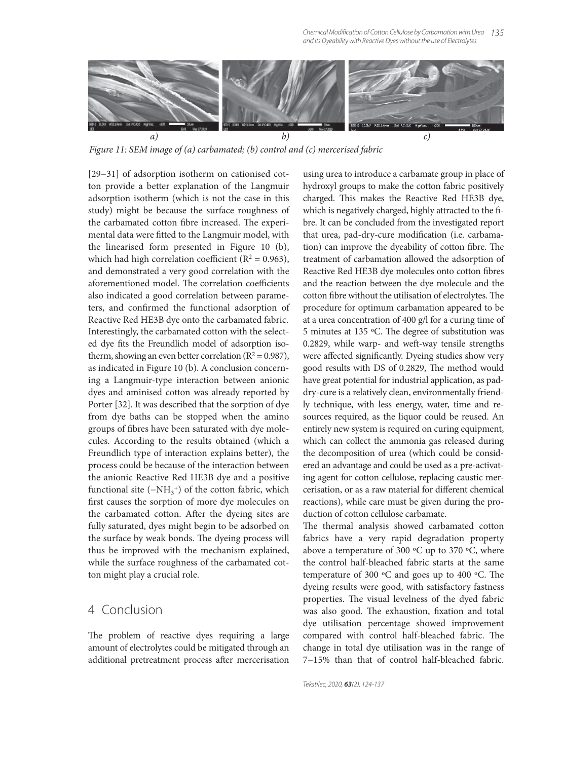

*Figure 11: SEM image of (a) carbamated; (b) control and (c) mercerised fabric*

[29−31] of adsorption isotherm on cationised cotton provide a better explanation of the Langmuir adsorption isotherm (which is not the case in this study) might be because the surface roughness of the carbamated cotton fibre increased. The experimental data were fitted to the Langmuir model, with the linearised form presented in Figure 10 (b), which had high correlation coefficient ( $R^2 = 0.963$ ), and demonstrated a very good correlation with the aforementioned model. The correlation coefficients also indicated a good correlation between parameters, and confirmed the functional adsorption of Reactive Red HE3B dye onto the carbamated fabric. Interestingly, the carbamated cotton with the selected dye fits the Freundlich model of adsorption isotherm, showing an even better correlation ( $R^2 = 0.987$ ), as indicated in Figure 10 (b). A conclusion concerning a Langmuir-type interaction between anionic dyes and aminised cotton was already reported by Porter [32]. It was described that the sorption of dye from dye baths can be stopped when the amino groups of fibres have been saturated with dye molecules. According to the results obtained (which a Freundlich type of interaction explains better), the process could be because of the interaction between the anionic Reactive Red HE3B dye and a positive functional site  $(-NH_3^+)$  of the cotton fabric, which first causes the sorption of more dye molecules on the carbamated cotton. After the dyeing sites are fully saturated, dyes might begin to be adsorbed on the surface by weak bonds. The dyeing process will thus be improved with the mechanism explained, while the surface roughness of the carbamated cotton might play a crucial role.

## 4 Conclusion

The problem of reactive dyes requiring a large amount of electrolytes could be mitigated through an additional pretreatment process after mercerisation using urea to introduce a carbamate group in place of hydroxyl groups to make the cotton fabric positively charged. This makes the Reactive Red HE3B dye, which is negatively charged, highly attracted to the fibre. It can be concluded from the investigated report that urea, pad-dry-cure modification (i.e. carbamation) can improve the dyeability of cotton fibre. The treatment of carbamation allowed the adsorption of Reactive Red HE3B dye molecules onto cotton fibres and the reaction between the dye molecule and the cotton fibre without the utilisation of electrolytes. The procedure for optimum carbamation appeared to be at a urea concentration of 400 g/l for a curing time of 5 minutes at 135  $°C$ . The degree of substitution was 0.2829, while warp- and weft-way tensile strengths were affected significantly. Dyeing studies show very good results with DS of 0.2829, The method would have great potential for industrial application, as paddry-cure is a relatively clean, environmentally friendly technique, with less energy, water, time and resources required, as the liquor could be reused. An entirely new system is required on curing equipment, which can collect the ammonia gas released during the decomposition of urea (which could be considered an advantage and could be used as a pre-activating agent for cotton cellulose, replacing caustic mercerisation, or as a raw material for different chemical reactions), while care must be given during the production of cotton cellulose carbamate.

The thermal analysis showed carbamated cotton fabrics have a very rapid degradation property above a temperature of 300  $\rm{^{\circ}C}$  up to 370  $\rm{^{\circ}C}$ , where the control half-bleached fabric starts at the same temperature of 300  $\degree$ C and goes up to 400  $\degree$ C. The dyeing results were good, with satisfactory fastness properties. The visual levelness of the dyed fabric was also good. The exhaustion, fixation and total dye utilisation percentage showed improvement compared with control half-bleached fabric. The change in total dye utilisation was in the range of 7−15% than that of control half-bleached fabric.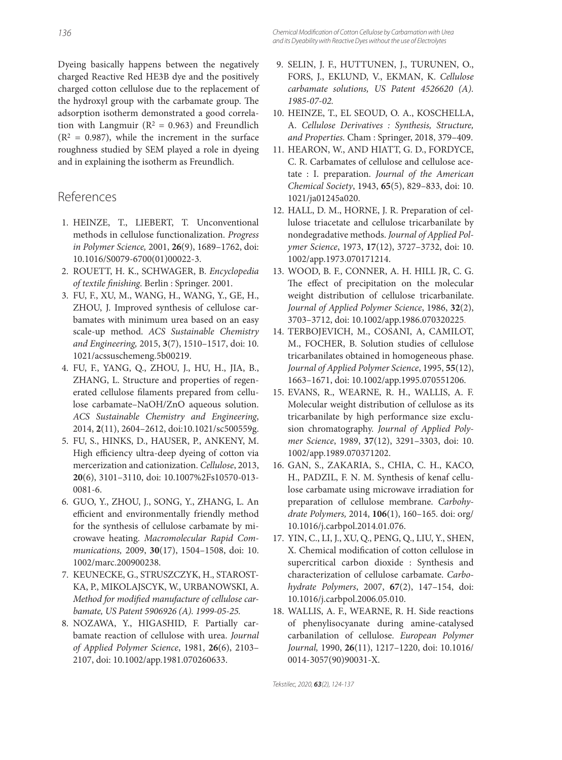Dyeing basically happens between the negatively charged Reactive Red HE3B dye and the positively charged cotton cellulose due to the replacement of the hydroxyl group with the carbamate group. The adsorption isotherm demonstrated a good correlation with Langmuir ( $R^2 = 0.963$ ) and Freundlich  $(R<sup>2</sup> = 0.987)$ , while the increment in the surface roughness studied by SEM played a role in dyeing and in explaining the isotherm as Freundlich.

## References

- 1. HEINZE, T., LIEBERT, T. Unconventional methods in cellulose functionalization. *Progress in Polymer Science,* 2001, **26**(9), 1689–1762, doi: 10.1016/S0079-6700(01)00022-3.
- 2. ROUETT, H. K., SCHWAGER, B. *Encyclopedia of textile fi nishing*. Berlin : Springer. 2001.
- 3. FU, F., XU, M., WANG, H., WANG, Y., GE, H., ZHOU, J. Improved synthesis of cellulose carbamates with minimum urea based on an easy scale-up method. *ACS Sustainable Chemistry and Engineering,* 2015, **3**(7), 1510–1517, doi: 10. 1021/acssuschemeng.5b00219.
- 4. FU, F., YANG, Q., ZHOU, J., HU, H., JIA, B., ZHANG, L. Structure and properties of regenerated cellulose filaments prepared from cellulose carbamate–NaOH/ZnO aqueous solution. *ACS Sustainable Chemistry and Engineering*, 2014, **2**(11), 2604–2612, doi:10.1021/sc500559g.
- 5. FU, S., HINKS, D., HAUSER, P., ANKENY, M. High efficiency ultra-deep dyeing of cotton via mercerization and cationization. *Cellulose*, 2013, **20**(6), 3101–3110, doi: 10.1007%2Fs10570-013- 0081-6.
- 6. GUO, Y., ZHOU, J., SONG, Y., ZHANG, L. An efficient and environmentally friendly method for the synthesis of cellulose carbamate by microwave heating. *Macromolecular Rapid Communications,* 2009, **30**(17), 1504–1508, doi: 10. 1002/marc.200900238.
- 7. KEUNECKE, G., STRUSZCZYK, H., STAROST-KA, P., MIKOLAJSCYK, W., URBANOWSKI, A. Method for modified manufacture of cellulose car*bamate, US Patent 5906926 (A). 1999-05-25.*
- 8. NOZAWA, Y., HIGASHID, F. Partially carbamate reaction of cellulose with urea. *Journal of Applied Polymer Science*, 1981, **26**(6), 2103– 2107, doi: 10.1002/app.1981.070260633.
- 9. SELIN, J. F., HUTTUNEN, J., TURUNEN, O., FORS, J., EKLUND, V., EKMAN, K. *Cellulose carbamate solutions, US Patent 4526620 (A). 1985-07-02.*
- 10. HEINZE, T., EL SEOUD, O. A., KOSCHELLA, A. *Cellulose Derivatives : Synthesis, Structure, and Properties.* Cham : Springer, 2018, 379–409.
- 11. HEARON, W., AND HIATT, G. D., FORDYCE, C. R. Carbamates of cellulose and cellulose acetate : I. preparation. *Journal of the American Chemical Society*, 1943, **65**(5), 829–833, doi: 10. 1021/ja01245a020.
- 12. HALL, D. M., HORNE, J. R. Preparation of cellulose triacetate and cellulose tricarbanilate by nondegradative methods. *Journal of Applied Polymer Science*, 1973, **17**(12), 3727–3732, doi: 10. 1002/app.1973.070171214.
- 13. WOOD, B. F., CONNER, A. H. HILL JR, C. G. The effect of precipitation on the molecular weight distribution of cellulose tricarbanilate. *Journal of Applied Polymer Science*, 1986, **32**(2), 3703–3712, doi: 10.1002/app.1986.070320225.
- 14. TERBOJEVICH, M., COSANI, A, CAMILOT, M., FOCHER, B. Solution studies of cellulose tricarbanilates obtained in homogeneous phase. *Journal of Applied Polymer Science*, 1995, **55**(12), 1663–1671, doi: 10.1002/app.1995.070551206.
- 15. EVANS, R., WEARNE, R. H., WALLIS, A. F. Molecular weight distribution of cellulose as its tricarbanilate by high performance size exclusion chromatography. *Journal of Applied Polymer Science*, 1989, **37**(12), 3291–3303, doi: 10. 1002/app.1989.070371202.
- 16. GAN, S., ZAKARIA, S., CHIA, C. H., KACO, H., PADZIL, F. N. M. Synthesis of kenaf cellulose carbamate using microwave irradiation for preparation of cellulose membrane. *Carbohydrate Polymers,* 2014, **106**(1), 160–165. doi: org/ 10.1016/j.carbpol.2014.01.076.
- 17. YIN, C., LI, J., XU, Q., PENG, Q., LIU, Y., SHEN, X. Chemical modification of cotton cellulose in supercritical carbon dioxide : Synthesis and characterization of cellulose carbamate. *Carbohydrate Polymers*, 2007, **67**(2), 147–154, doi: 10.1016/j.carbpol.2006.05.010.
- 18. WALLIS, A. F., WEARNE, R. H. Side reactions of phenylisocyanate during amine-catalysed carbanilation of cellulose. *European Polymer Journal,* 1990, **26**(11), 1217–1220, doi: 10.1016/ 0014-3057(90)90031-X.